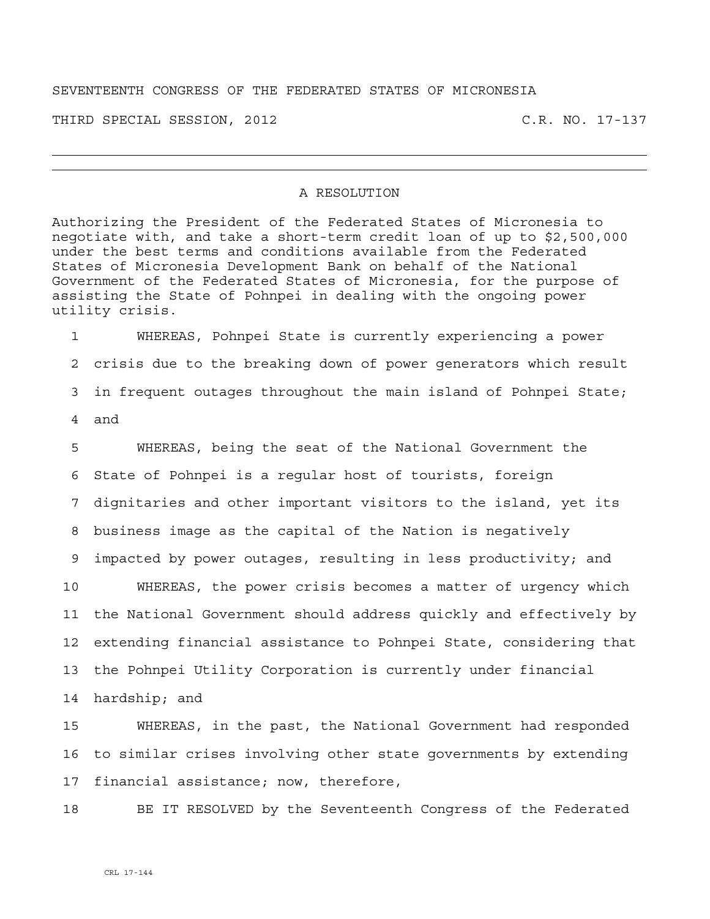## SEVENTEENTH CONGRESS OF THE FEDERATED STATES OF MICRONESIA

THIRD SPECIAL SESSION, 2012 C.R. NO. 17-137

## A RESOLUTION

Authorizing the President of the Federated States of Micronesia to negotiate with, and take a short-term credit loan of up to \$2,500,000 under the best terms and conditions available from the Federated States of Micronesia Development Bank on behalf of the National Government of the Federated States of Micronesia, for the purpose of assisting the State of Pohnpei in dealing with the ongoing power utility crisis.

1 WHEREAS, Pohnpei State is currently experiencing a power 2 crisis due to the breaking down of power generators which result 3 in frequent outages throughout the main island of Pohnpei State; 4 and

5 WHEREAS, being the seat of the National Government the 6 State of Pohnpei is a regular host of tourists, foreign 7 dignitaries and other important visitors to the island, yet its 8 business image as the capital of the Nation is negatively 9 impacted by power outages, resulting in less productivity; and 10 WHEREAS, the power crisis becomes a matter of urgency which 11 the National Government should address quickly and effectively by 12 extending financial assistance to Pohnpei State, considering that 13 the Pohnpei Utility Corporation is currently under financial 14 hardship; and

15 WHEREAS, in the past, the National Government had responded 16 to similar crises involving other state governments by extending 17 financial assistance; now, therefore,

18 BE IT RESOLVED by the Seventeenth Congress of the Federated